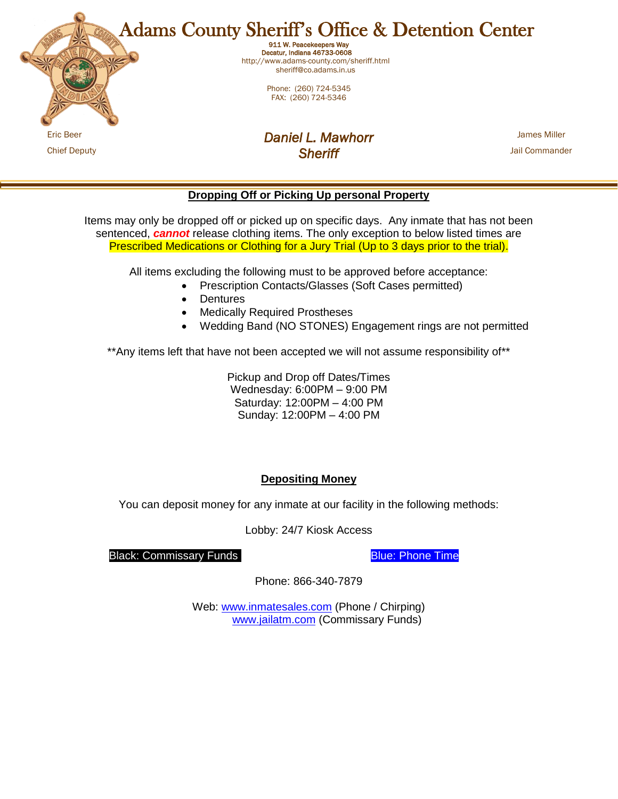

**Dropping Off or Picking Up personal Property**

Items may only be dropped off or picked up on specific days. Any inmate that has not been sentenced, *cannot* release clothing items. The only exception to below listed times are Prescribed Medications or Clothing for a Jury Trial (Up to 3 days prior to the trial).

All items excluding the following must to be approved before acceptance:

- Prescription Contacts/Glasses (Soft Cases permitted)
- **Dentures**
- Medically Required Prostheses
- Wedding Band (NO STONES) Engagement rings are not permitted

\*\*Any items left that have not been accepted we will not assume responsibility of\*\*

Pickup and Drop off Dates/Times Wednesday: 6:00PM – 9:00 PM Saturday: 12:00PM – 4:00 PM Sunday: 12:00PM – 4:00 PM

## **Depositing Money**

You can deposit money for any inmate at our facility in the following methods:

Lobby: 24/7 Kiosk Access

Black: Commissary Funds Blue: Phone Time

Phone: 866-340-7879

Web: [www.inmatesales.com](http://www.inmatesales.com/) (Phone / Chirping) [www.jailatm.com](http://www.jailatm.com/) (Commissary Funds)